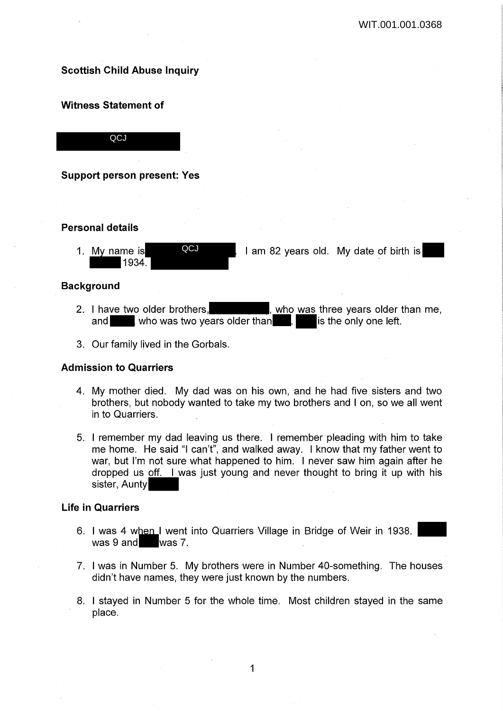# **Scottish Child Abuse Inquiry**

## **Witness Statement of**

**QCJ** 

**Support person present: Yes** 

## **Personal details**

1. My name is **QCJ** 1 am 82 years old. My date of birth is  $1934.$ **QCJ** 

### **Background**

- 2. I have two older brothers, solution was three years older than me, and who was two years older than . is the only one left.
- 3. Our family lived in the Gorbals.

## **Admission to Quarriers**

- 4. My mother died. My dad was on his own, and he had five sisters and two brothers, but nobody wanted to take my two brothers and I on, so we all went in to Quarriers.
- 5. I remember my dad leaving us there. I remember pleading with him to take me home. He said "I can't", and walked away. I know that my father went to war, but I'm not sure what happened to him. I never saw him again after he dropped us off. I was just young and never thought to bring it up with his sister, Aunty

## **Life in Quarriers**

- 6. I was 4 when I went into Quarriers Village in Bridge of Weir in 1938. was 9 and was 7.
- 7. I was in Number 5. My brothers were in Number 40-something. The houses didn't have names, they were just known by the numbers.
- 8. I stayed in Number 5 for the whole time. Most children stayed in the same place.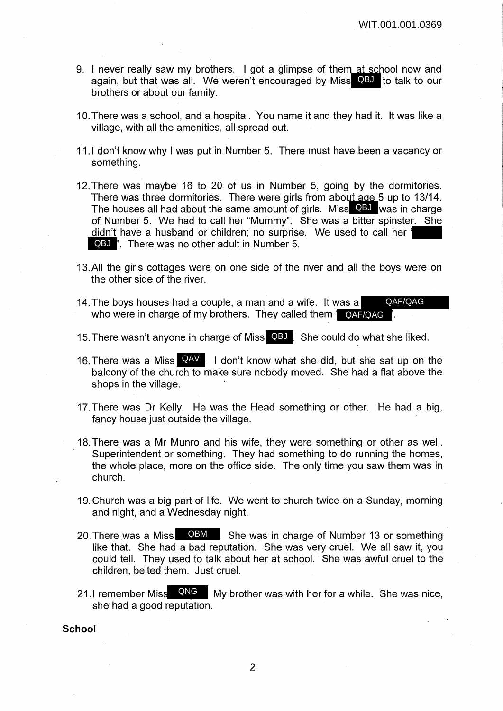- 9. I never really saw my brothers. I got a glimpse of them at school now and again, but that was all. We weren't encouraged by Miss QBJ to talk to our brothers or about our family.
- 10. There was a school, and a hospital. You name it and they had it. It was like a village, with all the amenities, all spread out.
- 11.1 don't know why I was put in Number 5. There must have been a vacancy or something.
- 12. There was maybe 16 to 20 of us in Number 5, going by the dormitories. There was three dormitories. There were girls from about age 5 up to 13/14. The houses all had about the same amount of girls. Miss QBJ was in charge of Number 5. We had to call her "Mummy". She was a bitter spinster. She didn't have a husband or children; no surprise. We used to call her QBJ '. There was no other adult in Number 5.
- 13. All the girls cottages were on one side of the river and all the boys were on the other side of the river.
- 14. The boys houses had a couple, a man and a wife. It was a who were in charge of my brothers. They called them ' **QAF/QAG** '. QAF/QAG
- 15. There wasn't anyone in charge of Miss QBJ. She could do what she liked.
- 16. There was a Miss **QAV** I don't know what she did, but she sat up on the balcony of the church to make sure nobody moved. She had a flat above the shops in the village.
- 17. There was Dr Kelly. He was the Head something or other. He had a big, fancy house just outside the village.
- 18. There was a Mr Munro and his wife, they were something or other as well. Superintendent or something. They had something to do running the homes, the whole place, more on the office side. The only time you saw them was in church.
- 19. Church was a big part of life. We went to church twice on a Sunday, morning and night, and a Wednesday night.
- 20. There was a Miss **QBM** She was in charge of Number 13 or something like that. She had a bad reputation. She was very cruel. We all saw it, you could tell. They used to talk about her at school. She was awful cruel to the children, belted them. Just cruel.
- 21.I remember Miss  $\overline{QNG}$  My brother was with her for a while. She was nice, she had a good reputation.

**School**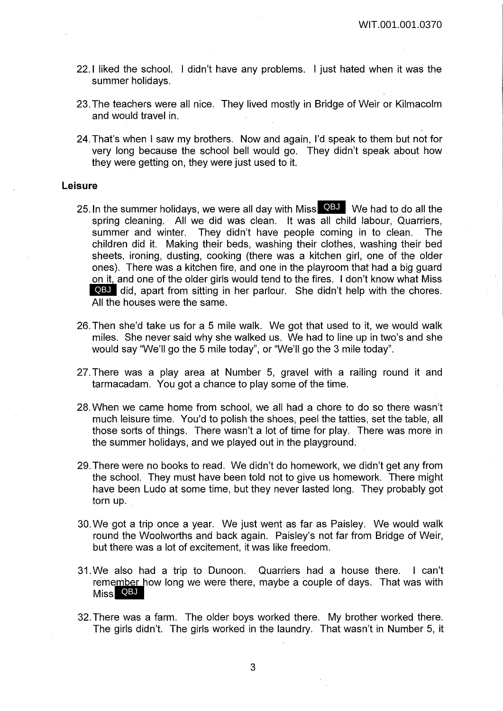- 22.1 liked the school. I didn't have any problems. I just hated when it was the summer holidays.
- 23. The teachers were all nice. They lived mostly in Bridge of Weir or Kilmacolm and would travel in.
- 24. That's when I saw my brothers. Now and again, I'd speak to them but not for very long because the school bell would go. They didn't speak about how . they were getting on, they were just used to it.

### **Leisure**

- 25. In the summer holidays, we were all day with Miss QBJ We had to do all the spring cleaning. All we did was clean. It was all child labour, Quarriers, summer and winter. They didn't have people coming in to clean. The children did it. Making their beds, washing their clothes, washing their bed sheets, ironing, dusting, cooking (there was a kitchen girl, one of the older ones). There was a kitchen fire, and one in the playroom that had a big guard on it, and one of the older girls would tend to the fires. I don't know what Miss QBJ did, apart from sitting in her parlour. She didn't help with the chores. All the houses were the same.
- 26. Then she'd take us for a 5 mile walk. We got that used to it, we would walk miles. She never said why she walked us. We had to line up in two's and she would say "We'll go the 5 mile today", or "We'll go the 3 mile today".
- 27. There was a play area at Number 5, gravel with a railing round it and tarmacadam. You got a chance to play some of the time.
- 28. When we came home from school, we all had a chore to do so there wasn't much leisure time. You'd to polish the shoes, peel the tatties, set the table, all those sorts of things. There wasn't a lot of time for play. There was more in the summer holidays, and we played out in the playground.
- 29. There were no books to read. We didn't do homework, we didn't get any from the school. They must have been told not to give us homework. There might have been Ludo at some time, but they never lasted long. They probably got torn up.
- 30. We got a trip once a year. We just went as far as Paisley. We would walk round the Woolworths and back again. Paisley's not far from Bridge of Weir, but there was a lot of excitement, it was like freedom.
- 31. We also had a trip to Dunoon. Quarriers had a house there. I can't remember how long we were there, maybe a couple of days. That was with Miss QBJ
- 32. There was a farm. The older boys worked there. My brother worked there. The girls didn't. The girls worked in the laundry. That wasn't in Number 5, it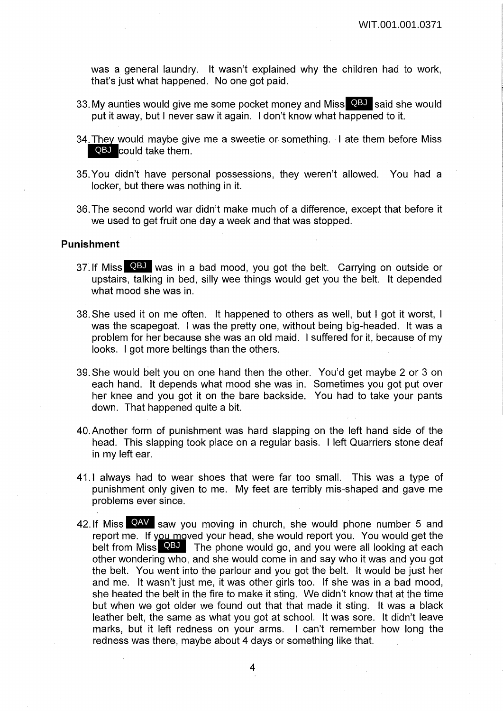was a general laundry. It wasn't explained why the children had to work, that's just what happened. No one got paid.

- 33. My aunties would give me some pocket money and Miss QBJ said she would put it away, but I never saw it again. I don't know what happened to it.
- 34. They would maybe give me a sweetie or something. I ate them before Miss QBJ could take them.
- 35. You didn't have personal possessions, they weren't allowed. You had a locker, but there was nothing in it.
- 36. The second world war didn't make much of a difference, except that before it we used to get fruit one day a week and that was stopped.

### **Punishment**

- 37. If Miss QBJ was in a bad mood, you got the belt. Carrying on outside or upstairs, talking in bed, silly wee things would get you the belt. It depended what mood she was in.
- 38. She used it on me often. It happened to others as well, but I got it worst, I was the scapegoat. I was the pretty one, without being big-headed. It was a problem for her because she was an old maid. I suffered for it, because of my looks. I got more beltings than the others.
- 39. She would belt you on one hand then the other. You'd get maybe 2 or 3 on each hand. It depends what mood she was in. Sometimes you got put over her knee and you got it on the bare backside. You had to take your pants down. That happened quite a bit.
- 40.Another form of punishment was hard slapping on the left hand side of the head. This slapping took place on a regular basis. I left Quarriers stone deaf in my left ear.
- 41.1 always had to wear shoes that were far too small. This was a type of punishment only given to me. My feet are terribly mis-shaped and gave me problems ever since.
- 42. If Miss **QAV** saw you moving in church, she would phone number 5 and report me. If you moved your head, she would report you. You would get the belt from Miss QBJ The phone would go, and you were all looking at each other wondering who, and she would come in and say who it was and you got the belt. You went into the parlour and you got the belt. It would be just her and me. It wasn't just me, it was other girls too. If she was in a bad mood, she heated the belt in the fire to make it sting. We didn't know that at the time but when we got older we found out that that made it sting. It was a black leather belt, the same as what you got at school. It was sore. It didn't leave marks, but it left redness on your arms. I can't remember how long the redness was there, maybe about 4 days or something like that.

4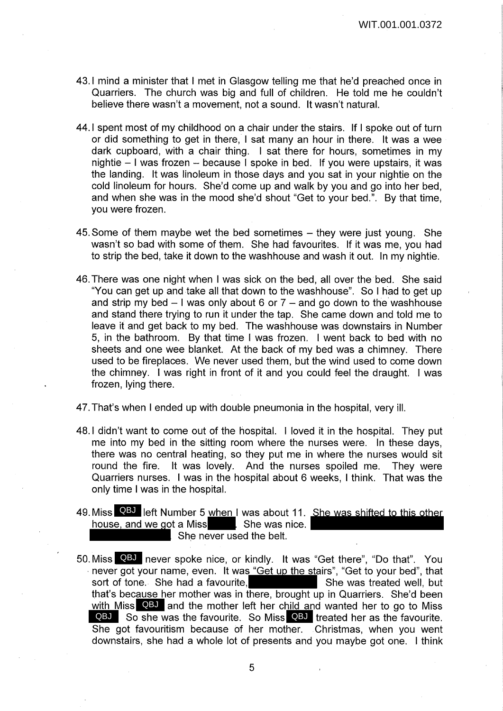- 43.1 mind a minister that I met in Glasgow telling me that he'd preached once in Quarriers. The church was big and full of children. He told me he couldn't believe there wasn't a movement, not a sound. It wasn't natural.
- 44.1 spent most of my childhood on a chair under the stairs. If I spoke out of turn or did something to get in there, I sat many an hour in there. It was a wee dark cupboard, with a chair thing. I sat there for hours, sometimes in my nightie - I was frozen - because I spoke in bed. If you were upstairs, it was the landing. It was linoleum in those days and you sat in your nightie on the cold linoleum for hours. She'd come up and walk by you and go into her bed, and when she was in the mood she'd shout "Get to your bed.". By that time, you were frozen.
- 45. Some of them maybe wet the bed sometimes  $-$  they were just young. She wasn't so bad with some of them. She had favourites. If it was me, you had to strip the bed, take it down to the washhouse and wash it out. In my nightie.
- 46. There was one night when I was sick on the bed, all over the bed. She said "You can get up and take all that down to the washhouse". So I had to get up and strip my bed  $-1$  was only about 6 or  $7$  – and go down to the washhouse and stand there trying to run it under the tap. She came down and told me to leave it and get back to my bed. The washhouse was downstairs in Number 5, in the bathroom. By that time I was frozen. I went back to bed with no sheets and one wee blanket. At the back of my bed was a chimney. There used to be fireplaces. We never used them, but the wind used to come down the chimney. I was right in front of it and you could feel the draught. I was frozen, lying there.
- 47. That's when I ended up with double pneumonia in the hospital, very ill.
- 48.1 didn't want to come out of the hospital. I loved it in the hospital. They put me into my bed in the sitting room where the nurses were. In these days, there was no central heating, so they put me in where the nurses would sit round the fire. It was lovely. And the nurses spoiled me. They were Quarriers nurses. I was in the hospital about 6 weeks, I think. That was the only time I was in the hospital.
- 49. Miss **QBJ** left Number 5 when I was about 11. She was shifted to this other house, and we got a Miss **Sheman**, She was nice.  $\overline{\phantom{a}}$  She never used the belt.
- 50. Miss QBJ never spoke nice, or kindly. It was "Get there", "Do that". You  $\cdot$  never got your name, even. It was "Get up the stairs", "Get to your bed", that sort of tone. She had a favourite, She was treated well, but that's because her mother was in there, brought up in Quarriers. She'd been with Miss QBJ and the mother left her child and wanted her to go to Miss QBJ So she was the favourite. So Miss QBJ treated her as the favourite. She got favouritism because of her mother. Christmas, when you went downstairs, she had a whole lot of presents and you maybe got one. I think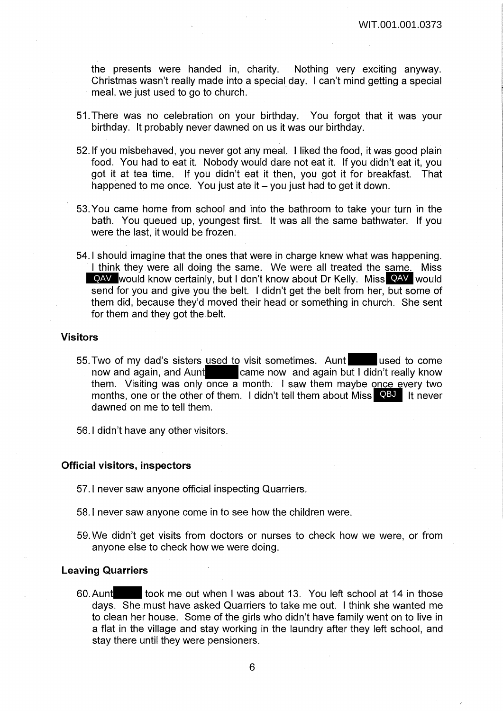the presents were handed in, charity. Nothing very exciting anyway. Christmas wasn't really made into a special day. I can't mind getting a special meal, we just used to go to church.

- 51. There was no celebration on your birthday. You forgot that it was your birthday. It probably never dawned on us it was our birthday.
- 52. If you misbehaved, you never got any meal. I liked the food, it was good plain food. You had to eat it. Nobody would dare not eat it. If you didn't eat it, you got it at tea time. If you didn't eat it then, you got it for breakfast. That happened to me once. You just ate it  $-$  you just had to get it down.
- 53. You came home from school and into the bathroom to take your turn in the bath. You queued up, youngest first. It was all the same bathwater. If you were the last, it would be frozen.
- 54.1 should imagine that the ones that were in charge knew what was happening. I think they were all doing the same. We were all treated the same. Miss QAV would know certainly, but I don't know about Dr Kelly. Miss QAV would send for you and give you the belt. I didn't get the belt from her, but some of them did, because they'd moved their head or something in church. She sent for them and they got the belt.

#### **Visitors**

- 55. Two of my dad's sisters used to visit sometimes. Aunt used to come now and again, and Aunt came now and again but I didn't really know them. Visiting was only once a month. I saw them maybe once every two months, one or the other of them. I didn't tell them about Miss QBJ It never dawned on me to tell them.
- 56.1 didn't have any other visitors.

#### **Official visitors, inspectors**

- 57.1 never saw anyone official inspecting Quarriers.
- 58.1 never saw anyone come in to see how the children were.
- 59. We didn't get visits from doctors or nurses to check how we were, or from anyone else to check how we were doing.

### **Leaving Quarriers**

60. Aunt took me out when I was about 13. You left school at 14 in those days. She must have asked Quarriers to take me out. I think she wanted me to clean her house. Some of the girls who didn't have family went on to live in a flat in the village and stay working in the laundry after they left school, and stay there until they were pensioners.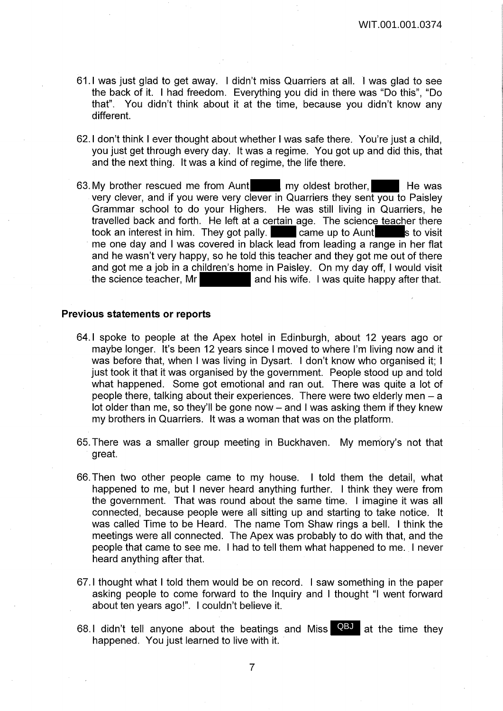- 61.1 was just glad to get away. I didn't miss Quarriers at all. I was glad to see the back of it. I had freedom. Everything you did in there was "Do this", "Do that". You didn't think about it at the time, because you didn't know any different.
- 62.1 don't think I ever thought about whether I was safe there. You're just a child, you just get through every day. It was a regime. You got up and did this, that and the next thing. It was a kind of regime, the life there.
- 63. My brother rescued me from Aunt my oldest brother, He was very clever, and if you were very clever in Quarriers they sent you to Paisley Grammar school to do your Highers. He was still living in Quarriers, he travelled back and forth. He left at a certain age. The science teacher there took an interest in him. They got pally. took an interest in him. They got pally. me one day and I was covered in black lead from leading a range in her flat and he wasn't very happy, so he told this teacher and they got me out of there and got me a job in a children's home in Paisley. On my day off, I would visit the science teacher, Mr and his wife. I was quite happy after that.

### **Previous statements or reports**

- 64.1 spoke to people at the Apex hotel in Edinburgh, about 12 years ago or maybe longer. It's been 12 years since I moved to where I'm living now and it was before that, when I was living in Dysart. I don't know who organised it; I just took it that it was organised by the government. People stood up and told what happened. Some got emotional and ran out. There was quite a lot of people there, talking about their experiences. There were two elderly men - a lot older than me, so they'll be gone now - and I was asking them if they knew my brothers in Quarriers. It was a woman that was on the platform.
- 65. There was a smaller group meeting in Buckhaven. My memory's not that great.
- 66. Then two other people came to my house. I told them the detail, what happened to me, but I never heard anything further. I think they were from the government. That was round about the same time. I imagine it was all connected, because people were all sitting up and starting to take notice. It was called Time to be Heard. The name Tom Shaw rings a bell. I think the meetings were all connected. The Apex was probably to do with that, and the people that came to see me. I had to tell them what happened to me. I never heard anything after that.
- 67.1 thought what I told them would be on record. I saw something in the paper asking people to come forward to the Inquiry and I thought "I went forward about ten years ago!". I couldn't believe it.
- 68.I didn't tell anyone about the beatings and Miss  $\overline{Q}$  at the time they happened. You just learned to live with it.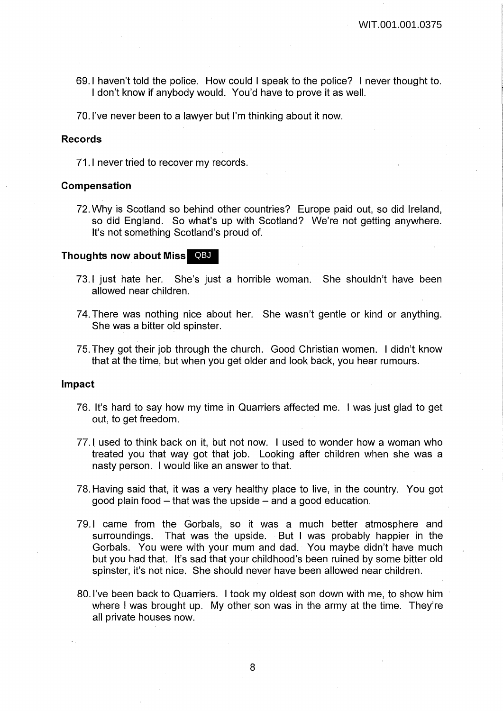69.1 haven't told the police. How could I speak to the police? I never thought to. I don't know if anybody would. You'd have to prove it as well.

70. I've never been to a lawyer but I'm thinking about it now.

### **Records**

71.1 never tried to recover my records.

#### **Compensation**

72. Why is Scotland so behind other countries? Europe paid out, so did Ireland, so did England. So what's up with Scotland? We're not getting anywhere. It's not something Scotland's proud of.

### **Thoughts now about Miss** QBJ

- 73.1 just hate her. She's just a horrible woman. She shouldn't have been allowed near children.
- 74. There was nothing nice about her. She wasn't gentle or kind or anything. She was a bitter old spinster.
- 75. They got their job through the church. Good Christian women. I didn't know that at the time, but when you get older and look back, you hear rumours.

### **Impact**

- 76. It's hard to say how my time in Quarriers affected me. I was just glad to get out, to get freedom.
- 77.1 used to think back on it, but not now. I used to wonder how a woman who treated you that way got that job. Looking after children when she was a nasty person. I would like an answer to that.
- 78. Having said that, it was a very healthy place to live, in the country. You got good plain food  $-$  that was the upside  $-$  and a good education.
- 79.1 came from the Gorbals, so it was a much better atmosphere and surroundings. That was the upside. But I was probably happier in the Gorbals. You were with your mum and dad. You maybe didn't have much but you had that. It's sad that your childhood's been ruined by some bitter old spinster, it's not nice. She should never have been allowed near children.
- 80. I've been back to Quarriers. I took my oldest son down with me, to show him where I was brought up. My other son was in the army at the time. They're all private houses now.